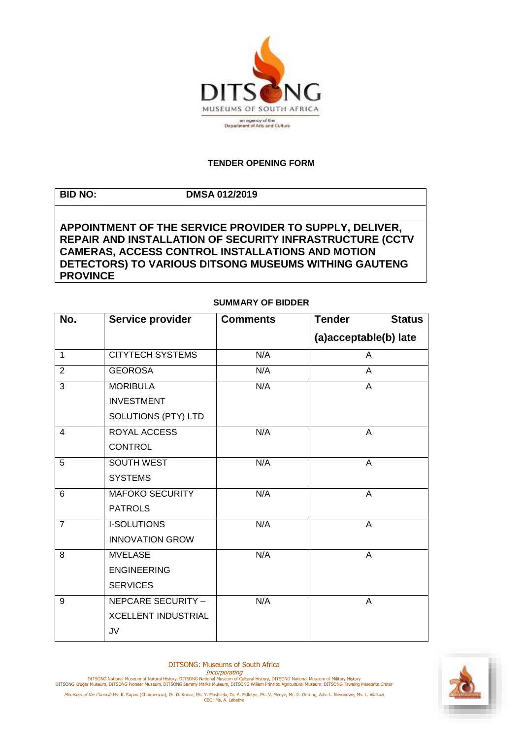

## **TENDER OPENING FORM**

| <b>BID NO:</b>  | <b>DMSA 012/2019</b>                                     |
|-----------------|----------------------------------------------------------|
|                 |                                                          |
|                 | APPOINTMENT OF THE SERVICE PROVIDER TO SUPPLY, DELIVER,  |
|                 | REPAIR AND INSTALLATION OF SECURITY INFRASTRUCTURE (CCTV |
|                 | <b>CAMERAS, ACCESS CONTROL INSTALLATIONS AND MOTION</b>  |
|                 | DETECTORS) TO VARIOUS DITSONG MUSEUMS WITHING GAUTENG    |
| <b>PROVINCE</b> |                                                          |

## **SUMMARY OF BIDDER**

| No.            | Service provider           | <b>Comments</b> | <b>Tender</b><br><b>Status</b> |
|----------------|----------------------------|-----------------|--------------------------------|
|                |                            |                 | (a)acceptable(b) late          |
| 1              | <b>CITYTECH SYSTEMS</b>    | N/A             | A                              |
| $\overline{2}$ | <b>GEOROSA</b>             | N/A             | A                              |
| 3              | <b>MORIBULA</b>            | N/A             | A                              |
|                | <b>INVESTMENT</b>          |                 |                                |
|                | SOLUTIONS (PTY) LTD        |                 |                                |
| 4              | ROYAL ACCESS               | N/A             | A                              |
|                | <b>CONTROL</b>             |                 |                                |
| 5              | <b>SOUTH WEST</b>          | N/A             | $\overline{A}$                 |
|                | <b>SYSTEMS</b>             |                 |                                |
| 6              | <b>MAFOKO SECURITY</b>     | N/A             | A                              |
|                | <b>PATROLS</b>             |                 |                                |
| $\overline{7}$ | <b>I-SOLUTIONS</b>         | N/A             | A                              |
|                | <b>INNOVATION GROW</b>     |                 |                                |
| 8              | <b>MVELASE</b>             | N/A             | A                              |
|                | <b>ENGINEERING</b>         |                 |                                |
|                | <b>SERVICES</b>            |                 |                                |
| 9              | NEPCARE SECURITY -         | N/A             | A                              |
|                | <b>XCELLENT INDUSTRIAL</b> |                 |                                |
|                | JV                         |                 |                                |

DITSONG: Museums of South Africa



Members of the Council: Ms. K. Rapoo (Chairperson), Dr. D. Konar; Ms. Y. Mashilela, Dr. A. Mdletye, Ms. V. Menye, Mr. G. Ontong, Adv. L. Nevondwe, Ms. L. Vilakazi<br>CEO: Ms. A. Lebethe